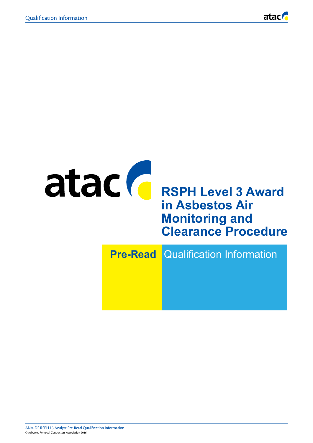

# atac **C** RSPH Level 3 Award **in Asbestos Air Monitoring and Clearance Procedure Pre-Read** Qualification Information

ANA-DF RSPH L3 Analyst Pre-Read Qualification Information The information within this document was correct at the time of publication. This document is uncontrolled when printed. © Asbestos Removal Contractors Association 2016. © Asbestos Removal Contractors Association 2016.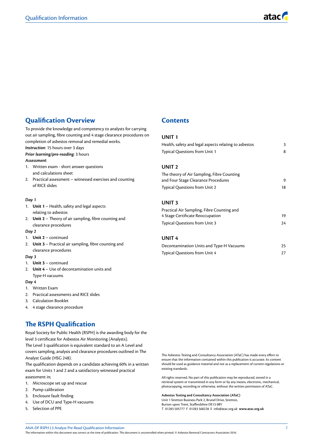# **Qualification Overview**

To provide the knowledge and competency to analysts for carrying out air sampling, fibre counting and 4 stage clearance procedures on completion of asbestos removal and remedial works. *Instruction*: 15 hours over 3 days

*Prior learning/pre-reading*: 3 hours

#### *Assessment*:

- 1. Written exam short answer questions and calculations sheet
- 2. Practical assessment witnessed exercises and counting of RICE slides

#### *Day 1*

- 1. **Unit 1** Health, safety and legal aspects relating to asbestos
- 2. **Unit 2** Theory of air sampling, fibre counting and clearance procedures

#### *Day 2*

- 1. **Unit 2** continued
- 2. **Unit 3** Practical air sampling, fibre counting and clearance procedures

#### *Day 3*

- 1. **Unit 3** continued
- 2. **Unit 4** Use of decontamination units and Type-H vacuums

#### *Day 4*

- 1. Written Exam
- 2. Practical assessments and RICE slides
- 3. Calculation Booklet
- 4. 4 stage clearance procedure

# **The RSPH Qualification**

Royal Society for Public Health (RSPH) is the awarding body for the level 3 certificate for Asbestos Air Monitoring (Analysts). The Level 3 qualification is equivalent standard to an A Level and covers sampling, analysis and clearance procedures outlined in The

Analyst Guide (HSG 248). The qualification depends on a candidate achieving 60% in a written exam for Units 1 and 2 and a satisfactory witnessed practical assessment in;

- 1. Microscope set up and rescue
- 2. Pump calibration
- 3. Enclosure fault finding
- 4. Use of DCU and Type-H vacuums
- 5. Selection of PPE

# **Contents**

#### **UNIT 1**

| Health, safety and legal aspects relating to asbestos | 3  |
|-------------------------------------------------------|----|
| <b>Typical Questions from Unit 1</b>                  | 8  |
|                                                       |    |
| UNIT <sub>2</sub>                                     |    |
| The theory of Air Sampling, Fibre Counting            |    |
| and Four Stage Clearance Procedures                   | 9  |
| <b>Typical Questions from Unit 2</b>                  | 18 |
|                                                       |    |
| UNIT <sub>3</sub>                                     |    |
| Practical Air Sampling, Fibre Counting and            |    |
| 4 Stage Certificate Reoccupation                      | 19 |
| <b>Typical Questions from Unit 3</b>                  | 24 |

# **UNIT 4**

| Decontamination Units and Type-H Vacuums | 25 |
|------------------------------------------|----|
| <b>Typical Questions from Unit 4</b>     |    |

The Asbestos Testing and Consultancy Association (ATaC) has made every effort to ensure that the information contained within this publication is accurate. Its content should be used as guidance material and not as a replacement of current regulations or existing standards.

All rights reserved. No part of this publication may be reproduced, stored in a retrieval system or transmitted in any form or by any means, electronic, mechanical, photocopying, recording or otherwise, without the written permission of ATaC.

**Asbestos Testing and Consultancy Association (ATaC)**

Unit 1 Stretton Business Park 2, Brunel Drive, Stretton, Burton upon Trent, Staffordshire DE13 0BY T 01283 505777 F 01283 568228 E info@atac.org.uk **www.atac.org.uk**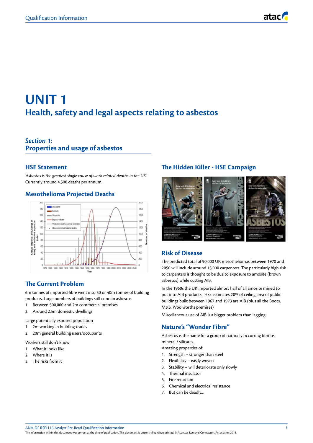

# **UNIT 1 Health, safety and legal aspects relating to asbestos**

# *Section 1*: **Properties and usage of asbestos**

# **HSE Statement**

*'Asbestos is the greatest single cause of work related deaths in the UK'.* Currently around 4,500 deaths per annum.

# **Mesothelioma Projected Deaths**



# **The Current Problem**

6m tonnes of imported fibre went into 30 or 40m tonnes of building products. Large numbers of buildings still contain asbestos.

- 1. Between 500,000 and 2m commercial premises
- 2. Around 2.5m domestic dwellings

Large potentially exposed population

- 1. 2m working in building trades
- 2. 20m general building users/occupants

Workers still don't know

- 1. What it looks like
- 2. Where it is
- 3. The risks from it

# **The Hidden Killer - HSE Campaign**



# **Risk of Disease**

The predicted total of 90,000 UK mesotheliomas between 1970 and 2050 will include around 15,000 carpenters. The particularly high risk to carpenters is thought to be due to exposure to amosite (brown asbestos) while cutting AIB.

In the 1960s the UK imported almost half of all amosite mined to put into AIB products. HSE estimates 20% of ceiling area of public buildings built between 1967 and 1973 are AIB (plus all the Boots, M&S, Woolworths premises)

Miscellaneous use of AIB is a bigger problem than lagging.

# **Nature's "Wonder Fibre"**

Asbestos is the name for a group of naturally occurring fibrous mineral / silicates.

Amazing properties of:

- 1. Strength stronger than steel
- 2. Flexibility easily woven
- 3. Stability will deteriorate only slowly
- 4. Thermal insulator
- 5. Fire retardant
- 6. Chemical and electrical resistance
- 7. But can be deadly...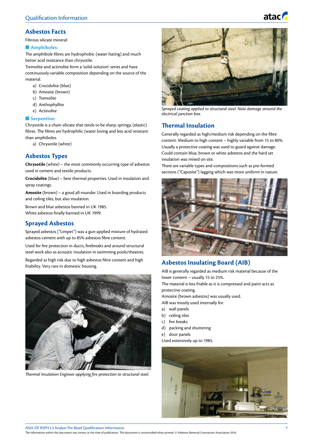

# **Asbestos Facts**

Fibrous silicate mineral:

#### $\blacksquare$  Amphiboles:

The amphibole fibres are hydrophobic (water hating) and much better acid resistance than chrysotile.

Tremolite and actinolite form a 'solid-solution' series and have continuously variable composition depending on the source of the material.

- a) Crocidolite (blue)
- b) Amosite (brown)
- c) Tremolite
- d) Anthophyllite
- e) Actinolite

### **n** Serpentine:

Chrysotile is a chain silicate that tends to be sharp, springy, (elastic) fibres. The fibres are hydrophilic (water loving and less acid resistant than amphiboles.

a) Chrysotile (white)

# **Asbestos Types**

**Chrysotile** (white) – the most commonly occurring type of asbestos used in cement and textile products.

**Crocidolite** (blue) – best thermal properties. Used in insulation and spray coatings.

**Amosite** (brown) – a good all-rounder. Used in boarding products and ceiling tiles, but also insulation.

Brown and blue asbestos banned in UK 1985. White asbestos finally banned in UK 1999.

# **Sprayed Asbestos**

Sprayed asbestos ("Limpet") was a gun-applied mixture of hydrated asbestos-cement with up to 85% asbestos fibre content.

Used for fire protection in ducts, firebreaks and around structural steel work also as acoustic insulation in swimming pools/theatres.

Regarded as high risk due to high asbestos fibre content and high friability. Very rare in domestic housing.



*Thermal Insulation Engineer applying fire protection to structural steel.*



*Sprayed coating applied to structural steel. Note damage around the electrical junction box.*

# **Thermal Insulation**

Generally regarded as high/medium risk depending on the fibre content. Medium to high content – highly variable from 15 to 80%. Usually a protective coating was used to guard against damage. Could contain blue, brown or white asbestos and the hard set insulation was mixed on site.

There are variable types and compositions such as pre-formed sections ("Caposite") lagging which was more uniform in nature.



# **Asbestos Insulating Board (AIB)**

AIB is generally regarded as medium risk material because of the lower content – usually 15 to 25%.

The material is less friable as it is compressed and paint acts as protective coating.

Amosite (brown asbestos) was usually used.

- AIB was mostly used internally for:
- a) wall panels
- b) ceiling tiles
- c) fire breaks
- d) packing and shuttering
- e) door panels

Used extensively up to 1985.



ANA-DF RSPH L3 Analyst Pre-Read Qualification Information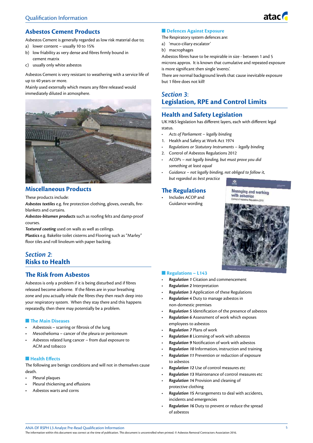

# **Asbestos Cement Products**

Asbestos Cement is generally regarded as low risk material due to;

- a) lower content usually 10 to 15%
- b) low friability as very dense and fibres firmly bound in cement matrix
- c) usually only white asbestos

Asbestos Cement is very resistant to weathering with a service life of up to 40 years or more.

Mainly used externally which means any fibre released would immediately diluted in atmosphere.



# **Miscellaneous Products**

These products include:

*Asbestos textiles* e.g. fire protection clothing, gloves, overalls, fireblankets and curtains.

*Asbestos-bitumen products* such as roofing felts and damp-proof courses.

*Textured coating* used on walls as well as ceilings.

**Plastics** e.g. Bakelite toilet cisterns and Flooring such as "Marley" floor tiles and roll linoleum with paper backing.

# *Section 2*: **Risks to Health**

# **The Risk from Asbestos**

Asbestos is only a problem if it is being disturbed and if fibres released become airborne. If the fibres are in your breathing zone and you actually inhale the fibres they then reach deep into your respiratory system. When they stay there and this happens repeatedly, then there may potentially be a problem.

#### **n** The Main Diseases

- Asbestosis scarring or fibrosis of the lung
- Mesothelioma cancer of the pleura or peritoneum
- Asbestos related lung cancer from dual exposure to ACM and tobacco

#### $\blacksquare$  **Health Effects**

The following are benign conditions and will not in themselves cause death.

- Pleural plaques
- Pleural thickening and effusions
- Asbestos warts and corns

### **n** Defences Against Exposure

The Respiratory system defences are:

- a) 'muco-ciliary escalator'
- b) macrophages

Asbestos fibres have to be respirable in size - between 1 and 5 microns approx. It is known that cumulative and repeated exposure is more significant then single 'events'.

There are normal background levels that cause inevitable exposure but 1 fibre does not kill!

# *Section 3*: **Legislation, RPE and Control Limits**

# **Health and Safety Legislation**

UK H&S legislation has different layers, each with different legal status.

- *• Acts of Parliament legally binding*
- 1. Health and Safety at Work Act 1974
- *• Regulations or Statutory Instruments legally binding*
- 2. Control of Asbestos Regulations 2012
- *• ACOPs not legally binding, but must prove you did something at least equal*
- *• Guidance not legally binding, not obliged to follow it, but regarded as best practice*

# **The Regulations**

• Includes ACOP and Guidance wording

**Managing and working** with asbestos



#### **n** Regulations – L143

- *• Regulation 1* Citation and commencement
- *• Regulation 2* Interpretation
- *• Regulation 3* Application of these Regulations
- *• Regulation 4* Duty to manage asbestos in non-domestic premises
- *• Regulation 5* Identification of the presence of asbestos
- *• Regulation 6* Assessment of work which exposes employees to asbestos
- *• Regulation 7* Plans of work
- *• Regulation 8* Licensing of work with asbestos
- *• Regulation 9* Notification of work with asbestos
- *• Regulation 10* Information, instruction and training
- *• Regulation 11* Prevention or reduction of exposure to asbestos
- *• Regulation 12* Use of control measures etc
- *• Regulation 13* Maintenance of control measures etc
- *• Regulation 14* Provision and cleaning of protective clothing
- *• Regulation 15* Arrangements to deal with accidents, incidents and emergencies
- *• Regulation 16* Duty to prevent or reduce the spread of asbestos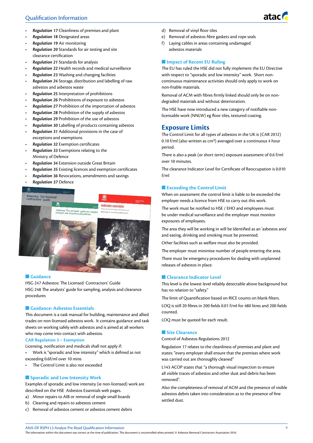# Qualification Information

- *• Regulation 17* Cleanliness of premises and plant
- *• Regulation 18* Designated areas
- *• Regulation 19* Air monitoring
- *• Regulation 20* Standards for air testing and site clearance certification
- *• Regulation 21* Standards for analysis
- *• Regulation 22* Health records and medical surveillance
- *• Regulation 23* Washing and changing facilities
- *• Regulation 24* Storage, distribution and labelling of raw asbestos and asbestos waste
- *• Regulation 25* Interpretation of prohibitions
- *• Regulation 26* Prohibitions of exposure to asbestos
- *• Regulation 27* Prohibition of the importation of asbestos
- *• Regulation 28* Prohibition of the supply of asbestos
- *• Regulation 29* Prohibition of the use of asbestos
- *• Regulation 30* Labelling of products containing asbestos
- *• Regulation 31* Additional provisions in the case of exceptions and exemptions
- *• Regulation 32* Exemption certificates
- *• Regulation 33* Exemptions relating to the Ministry of Defence
- *• Regulation 34* Extension outside Great Britain
- *• Regulation 35* Existing licences and exemption certificates
- *• Regulation 36* Revocations, amendments and savings
- *• Regulation 37* Defence



#### n **Guidance**

HSG 247 Asbestos: The Licensed Contractors' Guide HSG 248 The analysts' guide for sampling, analysis and clearance procedures

### **n** Guidance: Asbestos Essentials

This document is a task manual for building, maintenance and allied trades on non-licensed asbestos work. It contains guidance and task sheets on working safely with asbestos and is aimed at all workers who may come into contact with asbestos.

#### **CAR Regulation 3 – Exemption**

Licensing, notification and medicals shall not apply if:

- Work is "sporadic and low intensity" which is defined as not exceeding 0.6f/ml over 10 mins
- The Control Limit is also not exceeded

### **n** Sporadic and Low Intensity Work

Examples of sporadic and low intensity (ie non-licensed) work are described on the HSE Asbestos Essentials web pages.

- a) Minor repairs to AIB or removal of single small boards
- b) Cleaning and repairs to asbestos cement
- c) Removal of asbestos cement or asbestos cement debris
- d) Removal of vinyl floor tiles
- e) Removal of asbestos fibre gaskets and rope seals
- f) Laying cables in areas containing undamaged asbestos materials

#### **n** Impact of Recent EU Ruling

The EU has ruled the HSE did not fully implement the EU Directive with respect to "sporadic and low intensity" work. Short noncontinuous maintenance activities should only apply to work on non-friable materials.

Removal of ACM with fibres firmly linked should only be on nondegraded materials and without deterioration.

The HSE have now introduced a new category of notifiable nonlicensable work (NNLW) eg floor tiles, textured coating.

# **Exposure Limits**

The Control Limit for all types of asbestos in the UK is (CAR 2012) 0.10 f/ml (also written as  $cm<sup>3</sup>$ ) averaged over a continuous 4 hour period.

There is also a peak (or short term) exposure assessment of 0.6 f/ml over 10 minutes.

The clearance Indicator Level for Certificate of Reoccupation is 0.010 f/ml

### **n** Exceeding the Control Limit

When on assessment the control limit is liable to be exceeded the employer needs a licence from HSE to carry out this work.

The work must be notified to HSE / EHO and employees must be under medical surveillance and the employer must monitor exposures of employees.

The area they will be working in will be Identified as an 'asbestos area' and eating, drinking and smoking must be prevented.

Other facilities such as welfare must also be provided.

The employer must minimise number of people entering the area. There must be emergency procedures for dealing with unplanned releases of asbestos in place.

### **n** Clearance Indicator Level

This level is the lowest level reliably detectable above background but has no relation to "safety."

The limit of Quantification based on RICE counts on blank filters.

LOQ is still 20 fibres in 200 fields 0.01 f/ml for 480 litres and 200 fields counted.

LOQ must be quoted for each result.

### **n** Site Clearance

Control of Asbestos Regulations 2012

Regulation 17 relates to the cleanliness of premises and plant and states: "every employer shall ensure that the premises where work was carried out are thoroughly cleaned"

L143 ACOP states that "a thorough visual inspection to ensure all visible traces of asbestos and other dust and debris has been removed".

Also the completeness of removal of ACM and the presence of visible asbestos debris taken into consideration as to the presence of fine settled dust.

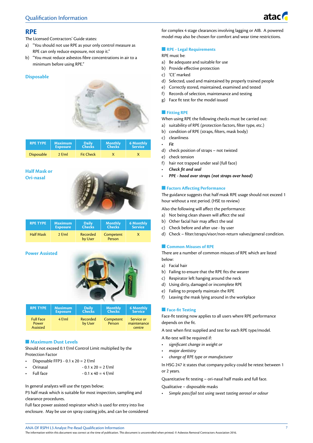

# **RPE**

The Licensed Contractors' Guide states:

- a) "You should not use RPE as your only control measure as RPE can only reduce exposure, not stop it."
- b) "You must reduce asbestos fibre concentrations in air to a minimum before using RPE."

### **Disposable**



| <b>RPE TYPE</b>   | <b>Maximum</b>  | <b>Daily</b>     | <b>Monthly</b> | <b>6 Monthly</b> |
|-------------------|-----------------|------------------|----------------|------------------|
|                   | <b>Exposure</b> | <b>Checks</b>    | <b>Checks</b>  | <b>Service</b>   |
| <b>Disposable</b> | $2$ f/ml        | <b>Fit Check</b> |                |                  |

### **Half Mask or Ori-nasal**



| <b>RPE TYPE</b>  | Maximum         | <b>Daily</b>        | <b>Monthly</b>      | <b>6 Monthly</b> |
|------------------|-----------------|---------------------|---------------------|------------------|
|                  | <b>Exposure</b> | <b>Checks</b>       | <b>Checks</b>       | <b>Service</b>   |
| <b>Half Mask</b> | 2 f/ml          | Recorded<br>by User | Competent<br>Person | X                |

# **Power Assisted**



| <b>RPE TYPE</b>                       | <b>Maximum</b>  | <b>Daily</b>        | <b>Monthly</b>      | <b>6 Monthly</b>                    |
|---------------------------------------|-----------------|---------------------|---------------------|-------------------------------------|
|                                       | <b>Exposure</b> | <b>Checks</b>       | <b>Checks</b>       | <b>Service</b>                      |
| <b>Full Face</b><br>Power<br>Assisted | $4$ f/ml        | Recorded<br>by User | Competent<br>Person | Service or<br>maintenance<br>centre |

# **n** Maximum Dust Levels

Should not exceed 0.1 f/ml Control Limit multiplied by the Protection Factor

- Disposable FFP3  $0.1 \times 20 = 2$  f/ml
- Orinasal  $-0.1 \times 20 = 2$  f/ml
- Full face  $-0.1 \times 40 = 4$  f/ml

#### In general analysts will use the types below;

P3 half mask which is suitable for most inspection, sampling and clearance procedures.

Full face power assisted respirator which is used for entry into live enclosure. May be use on spray coating jobs, and can be considered for complex 4 stage clearances involving lagging or AIB. A powered model may also be chosen for comfort and wear time restrictions.

### **n** RPE - Legal Requirements

RPE must be:

- a) Be adequate and suitable for use
- b) Provide effective protection
- c) 'CE' marked
- d) Selected, used and maintained by properly trained people
- e) Correctly stored, maintained, examined and tested
- f) Records of selection, maintenance and testing
- g) Face fit test for the model issued

### **n** Fitting RPE

When using RPE the following checks must be carried out:

- a) suitability of RPE (protection factors, filter type, etc.)
- b) condition of RPE (straps, filters, mask body)
- c) cleanliness
- *• Fit*
- d) check position of straps not twisted
- e) check tension
- f) hair not trapped under seal (full face)
- *• Check fit and seal*
- *• PPE hood over straps (not straps over hood)*

### **Factors Affecting Performance**

The guidance suggests that half mask RPE usage should not exceed 1 hour without a rest period. (HSE to review)

Also the following will affect the performance:

- a) Not being clean shaven will affect the seal
- b) Other facial hair may affect the seal
- c) Check before and after use by user
- d) Check filter/straps/visor/non-return valves/general condition.

### **n** Common Misuses of RPE

There are a number of common misuses of RPE which are listed below:

- a) Facial hair
- b) Failing to ensure that the RPE fits the wearer
- c) Respirator left hanging around the neck
- d) Using dirty, damaged or incomplete RPE
- e) Failing to properly maintain the RPE
- f) Leaving the mask lying around in the workplace

### **Face-fit Testing**

Face-fit testing now applies to all users where RPE performance depends on the fit.

A test when first supplied and test for each RPE type/model.

A Re-test will be required if:

- *significant change in weight or*
- *major dentistry*
- *change of RPE type or manufacturer*

In HSG 247 it states that company policy could be retest between 1 or 2 years.

Quantitative fit testing – ori-nasal half masks and full face.

Qualitative – disposable masks

• *Simple pass/fail test using sweet tasting aerosol or odour*

ANA-DF RSPH L3 Analyst Pre-Read Qualification Information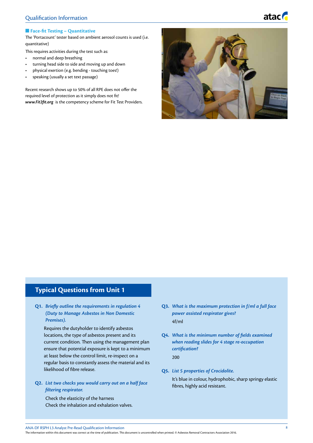

# **n** Face-fit Testing – Quantitative

The 'Portacount' tester based on ambient aerosol counts is used (i.e. quantitative)

This requires activities during the test such as:

- normal and deep breathing
- turning head side to side and moving up and down
- physical exertion (e.g. bending touching toes!)
- speaking (usually a set text passage)

Recent research shows up to 50% of all RPE does not offer the required level of protection as it simply does not fit! *www.Fit2fit.org* is the competency scheme for Fit Test Providers.



# **Typical Questions from Unit 1**

**Q1.** *Briefly outline the requirements in regulation 4 (Duty to Manage Asbestos in Non Domestic Premises).*

Requires the dutyholder to identify asbestos locations, the type of asbestos present and its current condition. Then using the management plan ensure that potential exposure is kept to a minimum at least below the control limit, re-inspect on a regular basis to constantly assess the material and its likelihood of fibre release.

**Q2.** *List two checks you would carry out on a half face filtering respirator.*

Check the elasticity of the harness Check the inhalation and exhalation valves.

- **Q3.** *What is the maximum protection in f/ml a full face power assisted respirator gives?* 4f/ml
- **Q4.** *What is the minimum number of fields examined when reading slides for 4 stage re-occupation certification?* 200
- **Q5.** *List 5 properties of Crocidolite.*

It's blue in colour, hydrophobic, sharp springy elastic fibres, highly acid resistant.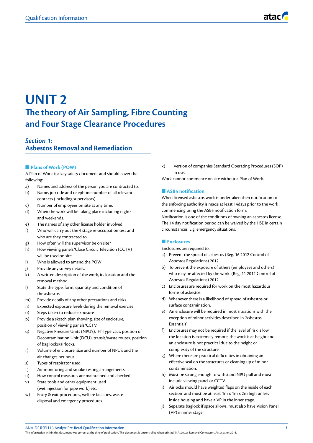# **UNIT 2 The theory of Air Sampling, Fibre Counting and Four Stage Clearance Procedures**

# *Section 1*: **Asbestos Removal and Remediation**

### **n** Plans of Work (POW)

A Plan of Work is a key safety document and should cover the following:

- a) Names and address of the person you are contracted to.
- b) Name, job title and telephone number of all relevant contacts (including supervisors).
- c) Number of employees on site at any time.
- d) When the work will be taking place including nights and weekends.
- e) The names of any other license holder involved
- f) Who will carry out the 4 stage re-occupation test and who are they contracted to.
- g) How often will the supervisor be on site?
- h) How viewing panels/Close Circuit Television (CCTV) will be used on site.
- i) Who is allowed to amend the POW
- j) Provide any survey details.
- k) A written description of the work, its location and the removal method.
- l) State the type, form, quantity and condition of the asbestos.
- m) Provide details of any other precautions and risks.
- n) Expected exposure levels during the removal exercise
- o) Steps taken to reduce exposure
- p) Provide a sketch plan showing, size of enclosure, position of viewing panels/CCTV,
- q) Negative Pressure Units (NPU's), 'H' Type vacs, position of Decontamination Unit (DCU), transit/waste routes, position of bag locks/airlocks.
- r) Volume of enclosure, size and number of NPU's and the air changes per hour.
- s) Types of respirator used
- t) Air monitoring and smoke testing arrangements.
- u) How control measures are maintained and checked.
- v) State tools and other equipment used (wet injection for pipe work) etc.
- w) Entry & exit procedures, welfare facilities, waste disposal and emergency procedures.

x) Version of companies Standard Operating Procedures (SOP) in use.

Work cannot commence on site without a Plan of Work.

#### n **ASB5 notification**

When licensed asbestos work is undertaken then notification to the enforcing authority is made at least 14days prior to the work commencing using the ASB5 notification form.

Notification is one of the conditions of owning an asbestos license. The 14 day notification period can be waived by the HSE in certain circumstances. E.g. emergency situations.

#### **n** Enclosures

Enclosures are required to:

- a) Prevent the spread of asbestos (Reg. 16 2012 Control of Asbestos Regulations) 2012
- b) To prevent the exposure of others (employees and others) who may be affected by the work. (Reg. 11 2012 Control of Asbestos Regulations) 2012
- c) Enclosures are required for work on the most hazardous forms of asbestos.
- d) Whenever there is a likelihood of spread of asbestos or surface contamination.
- e) An enclosure will be required in most situations with the exception of minor activities described in 'Asbestos Essentials'.
- f) Enclosures may not be required if the level of risk is low, the location is extremely remote, the work is at height and an enclosure is not practical due to the height or complexity of the structure.
- g) Where there are practical difficulties in obtaining an effective seal on the structures or cleaning up of minor contamination.
- h) Must be strong enough to withstand NPU pull and must include viewing panel or CCTV.
- i) Airlocks should have weighted flaps on the inside of each section and must be at least 1m x 1m x 2m high unless inside housing and have a VP in the inner stage.
- j) Separate baglock if space allows, must also have Vision Panel (VP) in inner stage

ANA-DF RSPH L3 Analyst Pre-Read Qualification Information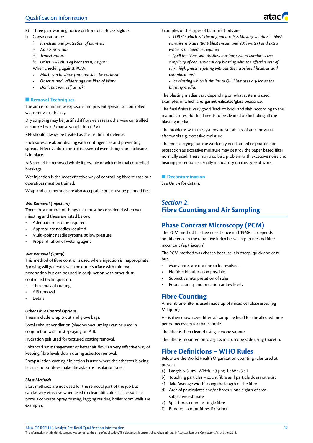# Qualification Information

- k) Three part warning notice on front of airlock/baglock.
- l) Consideration to:
	- *i. Pre-clean and protection of plant etc*
	- *ii. Access provision*
	- *iii. Transit routes*

*iv. Other H&S risks eg heat stress, heights.* When checking against POW:

- *• Much can be done from outside the enclosure*
- *• Observe and validate against Plan of Work*
- *• Don't put yourself at risk*

### **n** Removal Techniques

The aim is to minimise exposure and prevent spread, so controlled wet removal is the key.

Dry stripping may be justified if fibre-release is otherwise controlled at source Local Exhaust Ventilation (LEV).

RPE should always be treated as the last line of defence.

Enclosures are about dealing with contingencies and preventing spread. Effective dust control is essential even though an enclosure is in place.

AIB should be removed whole if possible or with minimal controlled breakage.

Wet injection is the most effective way of controlling fibre release but operatives must be trained.

Wrap and cut methods are also acceptable but must be planned first.

#### *Wet Removal (Injection)*

There are a number of things that must be considered when wet injecting and these are listed below:

- Adequate soak time required
- Appropriate needles required
- Multi-point needle systems, at low pressure
- Proper dilution of wetting agent

### *Wet Removal (Spray)*

This method of fibre control is used where injection is inappropriate. Spraying will generally wet the outer surface with minimal penetration but can be used in conjunction with other dust controlled techniques on:

- Thin sprayed coating.
- AIB removal
- Debris

### *Other Fibre Control Options*

These include wrap & cut and glove bags.

Local exhaust ventilation (shadow vacuuming) can be used in conjunction with mist spraying on AIB.

Hydration gels used for textured coating removal.

Enhanced air management or better air flow is a very effective way of keeping fibre levels down during asbestos removal.

Encapsulation coating / injection is used where the asbestos is being left in situ but does make the asbestos insulation safer.

#### *Blast Methods*

Blast methods are not used for the removal part of the job but can be very effective when used to clean difficult surfaces such as porous concrete. Spray coating, lagging residue, boiler room walls are examples.

Examples of the types of blast methods are:

*• TORBO which is "The original dustless blasting solution" - blast abrasive mixture (80% blast media and 20% water) and extra water is metered as required*

*• Quill the "Precision dustless blasting system combines the simplicity of conventional dry blasting with the effectiveness of ultra high pressure jetting without the associated hazards and complications"*

*• Ice blasting which is similar to Quill but uses dry ice as the blasting media.*

The blasting medias vary depending on what system is used. Examples of which are: garnet /silicates/glass beads/ice.

The final finish is very good 'back to brick and slab' according to the manufactures. But It all needs to be cleaned up Including all the blasting media.

The problems with the systems are suitability of area for visual afterwards e.g. excessive moisture

The men carrying out the work may need air fed respirators for protection as excessive moisture may destroy the paper based filter normally used. There may also be a problem with excessive noise and hearing protection is usually mandatory on this type of work.

#### **n** Decontamination

See Unit 4 for details.

# *Section 2*: **Fibre Counting and Air Sampling**

# **Phase Contrast Microscopy (PCM)**

The PCM method has been used since mid 1960s. It depends on difference in the refractive Index between particle and filter mountant (eg triacetin).

The PCM method was chosen because it is cheap, quick and easy, but…..

- Many fibres are too fine to be resolved
- No fibre identification possible
- Subjective interpretation of rules
- Poor accuracy and precision at low levels

# **Fibre Counting**

A membrane filter is used made up of mixed cellulose ester. (eg Millipore)

Air is then drawn over filter via sampling head for the allotted time period necessary for that sample.

The filter is then cleared using acetone vapour.

The filter is mounted onto a glass microscope slide using triacetin.

# **Fibre Definitions – WHO Rules**

Below are the World Health Organisation counting rules used at present.

- a) Length > 5  $\mu$ m; Width < 3  $\mu$ m; L: W > 3:1
- b) Touching particles count fibre as if particle does not exist
- c) Take 'average width' along the length of the fibre
- d) Area of particulates and/or fibres ≤ one eighth of area subjective estimate
- e) Split fibres count as single fibre
- f) Bundles count fibres if distinct

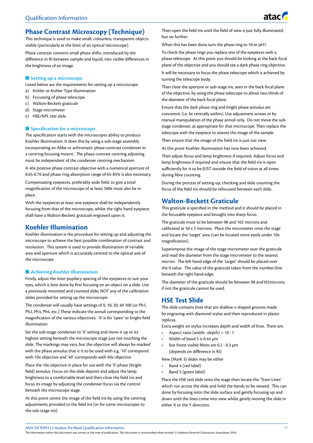# **Phase Contrast Microscopy (Technique)**

This technique is used to make small, colourless, transparent objects visible (particularly at the limit of an optical microscope).

Phase contrast converts small phase shifts, introduced by the difference in RI between sample and liquid, into visible differences in the brightness of an image.

#### **n** Setting up a microscope

Listed below are the requirements for setting up a microscope:

- a) Kohler or Kohler Type illumination
- b) Focussing of phase telescope
- c) Walton-Beckett graticule
- d) Stage micrometer
- e) HSE/NPL test slide

#### **n** Specification for a microscope

The specification starts with the microscopes ability to produce Koehler illumination. It does this by using a sub-stage assembly incorporating an Abbe or achromatic phase-contrast condenser in a centring focusing mount. The phase contrast centring adjusting must be independent of the condenser centring mechanism.

A 40x positive phase contrast objective with a numerical aperture of 0.65-0.70 and phase ring absorption range of 65-85% is also necessary.

Compensating eyepieces, preferably wide field, to give a total magnification of the microscope of at least 500x must also be in place.

With the eyepieces at least one eyepiece shall be independently focusing from that of the microscope, whilst the right hand eyepiece shall have a Walton-Beckett graticule engraved upon it.

# **Koehler Illumination**

Koehler illumination is the procedure for setting up and adjusting the microscope to achieve the best possible combination of contrast and resolution. This system is used to provide illumination of variable area and aperture which is accurately centred to the optical axis of the microscope.

### $\blacksquare$  **Achieving Koehler Illumination**

Firstly, adjust the inter-pupilary spacing of the eyepieces to suit your eyes, which is best done by first focusing on an object on a slide. Use a previously mounted and counted slide, NOT any of the calibration slides provided for setting up the microscope.

The condenser will usually have settings of 0, 10, 20, 40 100 (or Ph1, Ph2, Ph3, Ph4, etc.) These indicate the annuli corresponding to the magnification of the various objectives. '0' is for 'open' or bright-field illumination

Set the sub-stage condenser to '0' setting and move it up to its highest setting beneath the microscope stage just not touching the slide. The markings may vary, but the objective will always be marked with the phase annulus that it is to be used with e.g. '10' correspond with 10x objective and '40' corresponds with 40x objective

Place the 10x objective in place for use with the '0' phase (bright field) annulus. Focus on the slide deposit and adjust the lamp brightness to a comfortable level and then close the field iris and focus its image by adjusting the condenser focus via the control beneath the microscope stage.

At this point centre the image of the field iris by using the centring adjustments provided to the field iris (or for some microscopes to the sub-stage iris).

Then open the field iris until the field of view is just fully illuminated, but no further.

When this has been done turn the phase ring to 10 or pH1.

turning the telescope body.

To check the phase rings you replace one of the eyepieces with a phase telescope. At this point you should be looking at the back focal plane of the objective and you should see a dark phase ring objective. It will be necessary to focus the phase telescope which is achieved by

Then close the aperture or sub-stage iris, seen in the back focal plane of the objective, by using the phase telescope to about two thirds of the diameter of the back focal plane.

Ensure that the dark phase ring and bright phase annulus are concentric (i.e. lie centrally within). Use adjustment screws or by manual manipulation of the phase annuli only. Do not move the substage condenser, as appropriate for that microscope. Then replace the telescope with the eyepiece to restore the image of the sample.

Then ensure that the image of the field iris is just out view.

At this point Koehler illumination has now been achieved.

Then adjust focus and lamp brightness if required. Adjust focus and lamp brightness if required and ensure that the field iris is open sufficiently for it to be JUST outside the field of vision at all times during fibre counting.

During the process of setting-up, checking and slide counting the focus of the field iris should be refocused between each slide.

# **Walton-Beckett Graticule**

This graticule is specified in the method and it should be placed in the focusable eyepiece and brought into sharp focus.

The graticule must to be between 98 and 102 microns and calibrated at 50 x 2 microns. Place the micrometer onto the stage and locate the 'target' area (can be located more easily under 10x magnification).

Superimpose the image of the stage micrometer over the graticule and read the diameter from the stage micrometer to the nearest micron. The left hand edge of the 'target' should be placed over the 0 value. The value of the graticule taken from the number/line beneath the right hand edge.

The diameter of the graticule should be between 98 and102microns, if not the graticule cannot be used.

# **HSE Test Slide**

The slide contains lines that are shallow v-shaped grooves made by engraving with diamond stylus and then reproduced in plastic replicas.

Extra weight on stylus increases depth and width of lines. There are:

- Aspect ratio (width : depth) =  $10:1$
- Width of band 5 is 0.44 μm
- but finest visible fibres are 0.2 0.3 μm (depends on difference in RI)

New (Mark 3) slides may be either

- Band 4 (red label)
- Band 5 (green label)

Place the HSE test slide onto the stage then locate the 'Tram Lines' which run across the slide and hold the bands to be viewed. This can done by focusing onto the slide surface and gently focusing up and down until the lines come into view whilst gently moving the slide in either X or the Y direction.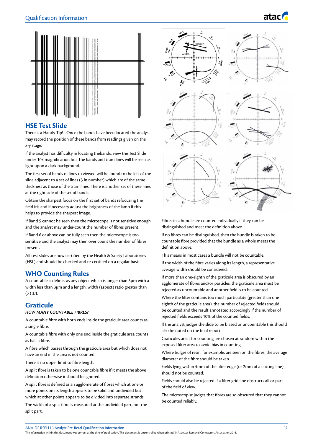



# **HSE Test Slide**

There is a Handy Tip! - Once the bands have been located the analyst may record the position of these bands from readings given on the x-y stage.

If the analyst has difficulty in locating thebands, view the Test Slide under 10x magnification but The bands and tram lines will be seen as light upon a dark background.

The first set of bands of lines to viewed will be found to the left of the slide adjacent to a set of lines (3 in number) which are of the same thickness as those of the tram lines. There is another set of these lines at the right side of the set of bands.

Obtain the sharpest focus on the first set of bands refocusing the field iris and if necessary adjust the brightness of the lamp if this helps to provide the sharpest image.

If Band 5 cannot be seen then the microscope is not sensitive enough and the analyst may under-count the number of fibres present.

If Band 6 or above can be fully seen then the microscope is too sensitive and the analyst may then over count the number of fibres present.

All test slides are now certified by the Health & Safety Laboratories (HSL) and should be checked and re-certified on a regular basis.

# **WHO Counting Rules**

A countable is defines as any object which is longer than 5µm with a width less than 3µm and a length: width (aspect) ratio greater than  $(>) 3:1.$ 

# **Graticule**

#### *HOW MANY COUNTABLE FIBRES?*

A countable fibre with both ends inside the graticule area counts as a single fibre.

A countable fibre with only one end inside the graticule area counts as half a fibre.

A fibre which passes through the graticule area but which does not have an end in the area is not counted.

There is no upper limit to fibre length.

A split fibre is taken to be one countable fibre if it meets the above definition otherwise it should be ignored.

A split fibre is defined as an agglomerate of fibres which at one or more points on its length appears to be solid and undivided but which at other points appears to be divided into separate strands.

The width of a split fibre is measured at the undivided part, not the split part.



Fibres in a bundle are counted individually if they can be distinguished and meet the definition above.

If no fibres can be distinguished, then the bundle is taken to be countable fibre provided that the bundle as a whole meets the definition above.

This means in most cases a bundle will not be countable.

If the width of the fibre varies along its length, a representative average width should be considered.

If more than one-eighth of the graticule area is obscured by an agglomerate of fibres and/or particles, the graticule area must be rejected as uncountable and another field is to be counted.

Where the filter contains too much particulate (greater than one eighth of the graticule area), the number of rejected fields should be counted and the result annotated accordingly if the number of rejected fields exceeds 10% of the counted fields.

If the analyst judges the slide to be biased or uncountable this should also be noted on the final report.

Graticules areas for counting are chosen at random within the exposed filter area to avoid bias in counting.

Where bulges of resin, for example, are seen on the fibres, the average diameter of the fibre should be taken.

Fields lying within 4mm of the filter edge (or 2mm of a cutting line) should not be counted.

Fields should also be rejected if a filter grid line obstructs all or part of the field of view.

The microscopist judges that fibres are so obscured that they cannot be counted reliably.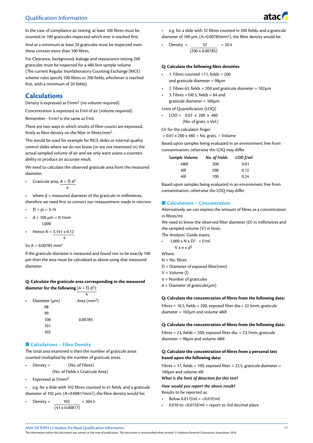# Qualification Information

In the case of compliance air testing: at least 100 fibres must be counted or 100 graticules inspected which ever is reached first.

And at a minimum at least 20 graticules must be inspected even these contain more than 100 fibres.

For Clearance, background, leakage and reassurance testing 200 graticules must be inspected for a 480 litre sample volume (The current Regular Interlaboratory Counting Exchange (RICE) scheme rules specify 100 fibres or 200 fields, whichever is reached first, with a minimum of 20 fields).

# **Calculations**

Density is expressed as f/mm2 (no volume required).

Concentration is expressed as f/ml of air (volume required).

Remember - f/cm3 is the same as f/ml.

There are two ways in which results of fibre counts are expressed, firstly as fibre density on the filter in fibres/mm2 .

This would be used for example for RICE slides or internal quality control slides where we do not know (or are not interested in) the actual sampled volume of air and we only want assess a counters ability to produce an accurate result.

We need to calculate the observed graticule area from the measured diameter.

Graticule area,  $A = \prod d^2$ 4

where  $d =$  measured diameter of the graticule in millimetres,

- therefore we need first to convert our measurement made in microns
- $\Pi$  = pi = 3.14
- $d = 100 \mu m = 0.1 mm$ 1,000
- Hence  $A = 3.141 \times 0.12$ 4

So  $A = 0.00785$  mm<sup>2</sup>

If the graticule diameter is measured and found not to be exactly 100 µm then the area must be calculated as above using that measured diameter.

### **Q: Calculate the graticule area corresponding to the measured diameter for the following**  $(A = \Pi d^2)$ :

| $\bullet$ | Diameter $(\mu m)$ | Area $(mm2)$ |
|-----------|--------------------|--------------|
|           | 98                 |              |
|           | 99                 |              |
|           | 100                | 0.00785      |
|           | 101                |              |
|           | 102                |              |

#### **n** Calculations – Fibre Density

The total area examined is then the number of graticule areas counted multiplied by the number of graticule areas.

• Density = (No. of Fibres)

(No. of Fields x Graticule Area)

Expressed as f/mm<sup>2</sup>

• e.g. for a slide with 102 fibres counted in 41 fields, and a graticule diameter of 102 µm, (A=0.00817mm<sup>2</sup>), the fibre density would be;

 $Density = 102 = 304.5$  $(41 \times 0.00817)$ 

• e.g. for a slide with 32 fibres counted in 200 fields, and a graticule diameter of 100  $\mu$ m, (A=0.00785mm<sup>2</sup>), the fibre density would be:

**Density =**  $32 = 20.4$  $(200 \times 0.00785)$ 

#### **Q: Calculate the following fibre densities**

- 1. Fibres counted  $=11$ , fields  $= 200$ and graticule diameter = 98µm
- 2. Fibres 63, fields = 200 and graticule diameter =  $102\mu m$
- 3. Fibres = 100.5, fields =  $84$  and graticule diameter = 100µm

Limit of Quantification (LOQ)

 $LOD = 0.01 \times 200 \times 480$ (No. of grats. x Vol.)

Or for the calculator finger:

 $= 0.01 \times 200 \times 480 \div$  No. grats.  $\div$  Volume

Based upon samples being evaluated in an environment free from contamination, otherwise the LOQ may differ

| Sample Volume | No. of Fields | $LOD$ $f/ml$ |
|---------------|---------------|--------------|
| 480I          | 200           | 0.01         |
| 40I           | 200           | 0.12         |
| 40I           | 100           | 0.24         |

Based upon samples being evaluated in an environment free from contamination, otherwise the LOQ may differ

#### **n** Calculations – Concentration

Alternatively, we can express the amount of fibres as a concentration in fibres/ml.

We need to know the observed filter diameter (D) in millimetres and the sampled volume (V) in litres.

The Analysts' Guide states;

$$
\bullet \qquad 1,000 \times N \times D^2 = f/ml
$$
  
 
$$
V \times n \times d^2
$$

Where:

- $N = No.$  fibres
- D = Diameter of exposed filter(mm)
- V = Volume (l)

n = Number of graticules

 $d =$  Diameter of graticule( $\mu$ m)

#### **Q: Calculate the concentration of fibres from the following data:**

Fibres = 16.5, fields = 200, exposed filter dia.= 22.5mm, graticule diameter = 102µm and volume 480l

#### **Q: Calculate the concentration of fibres from the following data:**

Fibres = 23, fields = 200, exposed filter dia. = 23.7mm, graticule diameter = 98µm and volume 480l

#### **Q: Calculate the concentration of fibres from a personal test based upon the following data:**

Fibres = 17, fields = 100, exposed filter = 22.5, graticule diameter = 100µm and volume 40l

*What is the limit of detection for this test?*

*How would you report the above result?*

- Results to be reported as:
- Below 0.01 f/ml =  $<$  0.01f/ml
- 0.010 to <0.015f/ml = report to 3rd decimal place

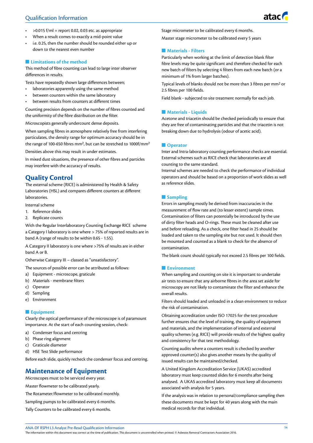- $>0.015$  f/ml = report 0.02, 0.03 etc. as appropriate
- When a result comes to exactly a mid-point value
- i.e. 0.25, then the number should be rounded either up or down to the nearest even number

#### **n** Limitations of the method

This method of fibre counting can lead to large inter observer differences in results.

Tests have repeatedly shown large differences between;

- laboratories apparently using the same method
- between counters within the same laboratory
- between results from counters at different times

Counting precision depends on the number of fibres counted and the uniformity of the fibre distribution on the filter.

Microscopists generally undercount dense deposits.

When sampling fibres in atmosphere relatively free from interfering particulates, the density range for optimum accuracy should be in the range of 100-650 fibres mm2, but can be stretched to 1000f/mm2

Densities above this may result in under estimates.

In mixed dust situations, the presence of other fibres and particles may interfere with the accuracy of results.

# **Quality Control**

The external scheme (RICE) is administered by Health & Safety Laboratories (HSL) and compares different counters at different laboratories.

Internal scheme

- 1. Reference slides
- 2. Replicate counts

With the Regular Interlaboratory Counting Exchange RICE scheme a Category I laboratory is one where > 75% of reported results are in band A (range of results to be within 0.65 - 1.55).

A Category II laboratory is one where >75% of results are in either band A or B.

Otherwise Category III – classed as "unsatisfactory".

The sources of possible error can be attributed as follows:

- a) Equipment microscope, graticule
- b) Materials membrane filters
- c) Operator
- d) Sampling
- e) Environment

### **Equipment**

Clearly the optical performance of the microscope is of paramount importance. At the start of each counting session, check:

- a) Condenser focus and centring
- b) Phase ring alignment
- c) Graticule diameter
- d) HSE Test Slide performance

Before each slide, quickly recheck the condenser focus and centring.

# **Maintenance of Equipment**

Microscopes must to be serviced every year.

Master flowmeter to be calibrated yearly.

The Rotameter/flowmeter to be calibrated monthly.

Sampling pumps to be calibrated every 6 months.

Tally Counters to be calibrated every 6 months.

Stage micrometer to be calibrated every 6 months.

Master stage micrometer to be calibrated every 5 years

#### **Naterials - Filters**

Particularly when working at the limit of detection blank filter fibre levels may be quite significant and therefore checked for each new batch of filters by selecting 4 filters from each new batch (or a minimum of 1% from larger batches).

Typical levels of blanks should not be more than 3 fibres per mm2 or 2.5 fibres per 100 fields.

Field blank - subjected to site treatment normally for each job.

#### **n** Materials - Liquids

Acetone and triacetin should be checked periodically to ensure that they are free of contaminating particles and that the triacetin is not breaking down due to hydrolysis (odour of acetic acid).

#### **n** Operator

Inter and Intra-laboratory counting performance checks are essential. External schemes such as RICE check that laboratories are all counting to the same standard.

Internal schemes are needed to check the performance of individual operators and should be based on a proportion of work slides as well as reference slides.

#### $\blacksquare$  Sampling

Errors in sampling mostly be derived from inaccuracies in the measurement of flow rate and (to lesser extent) sample times. Contamination of filters can potentially be introduced by the use of dirty filter heads and O-rings. These must be cleaned after use and before reloading. As a check, one filter head in 25 should be loaded and taken to the sampling site but not used. It should then be mounted and counted as a blank to check for the absence of contamination.

The blank count should typically not exceed 2.5 fibres per 100 fields.

#### $\blacksquare$  **Environment**

When sampling and counting on site it is important to undertake air tests to ensure that any airborne fibres in the area set aside for microscopy are not likely to contaminate the filter and enhance the overall results.

Filters should loaded and unloaded in a clean environment to reduce the risk of contamination.

Obtaining accreditation under ISO 17025 for the test procedure further ensures that the level of training, the quality of equipment and materials, and the implementation of internal and external quality schemes (e.g. RICE) will provide results of the highest quality and consistency for that test methodology.

Counting audits where a counters result is checked by another approved counter(s) also gives another means by the quality of issued results can be maintained/checked.

A United Kingdom Accreditation Service (UKAS) accredited laboratory must keep counted slides for 6 months after being analysed. A UKAS accredited laboratory must keep all documents associated with analysis for 5 years.

If the analysis was in relation to personal/compliance sampling then these documents must be kept for 40 years along with the main medical records for that individual.

ANA-DF RSPH L3 Analyst Pre-Read Qualification Information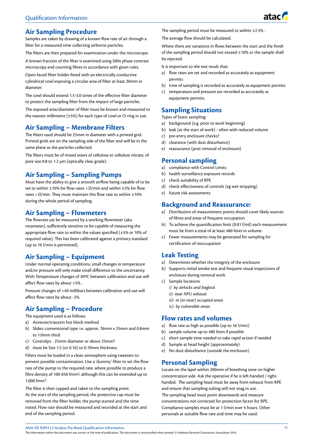

# **Air Sampling Procedure**

Samples are taken by drawing of a known flow rate of air through a filter for a measured time collecting airborne particles.

The filters are then prepared for examination under the microscope.

A known fraction of the filter is examined using 500x phase contrast microscopy and counting fibres in accordance with given rules.

Open-faced filter holder fitted with an electrically conductive cylindrical cowl exposing a circular area of filter at least 20mm in diameter.

The cowl should extend 1.5-3.0 times of the effective filter diameter to protect the sampling filter from the impact of large particles.

The exposed area/diameter of filter must be known and measured to the nearest millimetre  $(\pm 5%)$  for each type of cowl or O-ring in use.

# **Air Sampling – Membrane Filters**

The filters used should be 25mm in diameter with a printed grid. Printed grids are on the sampling side of the filter and will be in the same plane as the particles collected.

The filters must be of mixed esters of cellulose or cellulose nitrate, of pore size 0.8 to 1.2 µm (optically clear grade).

# **Air Sampling – Sampling Pumps**

Must have the ability to give a smooth airflow being capable of to be set to within ±10% for flow rates <2l/min and within ±5% for flow rates >2l/min. They must maintain this flow rate to within ±10% during the whole period of sampling.

# **Air Sampling – Flowmeters**

The flowrate ust be measured by a working flowmeter (aka rotameter), sufficiently sensitive to be capable of measuring the appropriate flow rate to within the values specified (±5% or 10% of required value). This has been calibrated against a primary standard (up to 16 l/min is permitted).

# **Air Sampling – Equipment**

Under normal operating conditions, small changes in temperature and/or pressure will only make small difference to the uncertainty. With Temperature changes of 30°C between calibration and use will affect flow rates by about +5% .

Pressure changes of +40 millibars between calibration and use will affect flow rates by about -2%.

# **Air Sampling – Procedure**

The equipment used is as follows:

- a) Acetone/triacetin hot block method
- b) Slides: conventional type: i.e. approx. 76mm x 25mm and 0.8mm to 1.0mm thick
- c) Coverslips 25mm diameter or about 25mm2
- d) must be Size 1.5 (or 0.16) to 0.19mm thickness.

Filters must be loaded in a clean atmosphere using tweezers to prevent possible contamination. Use a 'dummy' filter to set the flow rate of the pump to the required rate, where possible to produce a fibre density of 100-650 fmm2; although this can be extended up to 1,000 fmm2.

The filter is then capped and taken to the sampling point. At the start of the sampling period, the protective cap must be removed from the filter holder, the pump started and the time noted. Flow rate should be measured and recorded at the start and end of the sampling period.

The sampling period must be measured to within ±2.5%.

The average flow should be calculated.

Where there are variations in flows between the start and the finish of the sampling period should not exceed  $\pm 10\%$  or the sample shall be rejected.

It is important to the test result that:

- a) flow rates are set and recorded as accurately as equipment permits
- b) time of sampling is recorded as accurately as equipment permits
- c) temperature and pressure are recorded as accurately as equipment permits.

# **Sampling Situations**

Types of Static sampling:

- a) background (e.g. prior to work beginning)
- b) leak (at the start of work) often with reduced volume
- c) pre-entry enclosure checks?
- d) clearance (with dust disturbance)
- e) reassurance (post removal of enclosure)

# **Personal sampling**

- a) compliance with Control Limits
- b) health surveillance exposure records
- c) check suitability of RPE
- d) check effectiveness of controls (eg wet stripping)
- e) future risk assessments

# **Background and Reassurance:**

- a) Distribution of measurement points should cover likely sources of fibres and areas of frequent occupation.
- b) To achieve the quantification limit (0.01 f/ml) each measurement must be from a total of at least 480 litres in volume.
- c) Fewer measurements may be generated for sampling for certification of reoccupation

# **Leak Testing**

- a) Determines whether the integrity of the enclosure
- b) Supports initial smoke test and frequent visual inspections of enclosure during removal work
- c) Sample locations
	- *i) by airlocks and baglock*
	- *ii) near NPU exhaust*
	- *iii) in (or near) occupied areas*
	- *iv) by vulnerable areas*

# **Flow rates and volumes**

- a) flow rate as high as possible (up to 16 l/min)
- b) sample volume up to 480 litres if possible
- c) short sample time needed to take rapid action if needed
- d) Sample at head height (approximately)
- e) No dust disturbance (outside the enclosure)

# **Personal Sampling**

Locate on the lapel within 200mm of breathing zone on higher concentration side. Ask the operative if he is left-handed / righthanded. The sampling head must be away from exhaust from RPE and ensure that sampling tubing will not snag in use. The sampling head must point downwards and measure concentrations not corrected for protection factor for RPE. Compliance samples must be at 1 l/min over 4 hours. Other personals at suitable flow rate and time may be used.

ANA-DF RSPH L3 Analyst Pre-Read Qualification Information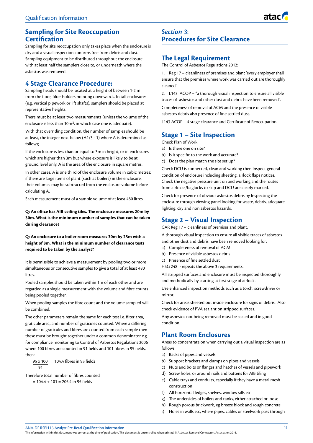# **Sampling for Site Reoccupation Certification**

Sampling for site reoccupation only takes place when the enclosure is dry and a visual inspection confirms free from debris and dust. Sampling equipment to be distributed throughout the enclosure with at least half the samplers close to, or underneath where the asbestos was removed.

# **4 Stage Clearance Procedure:**

Sampling heads should be located at a height of between 1-2 m from the floor, filter holders pointing downwards. In tall enclosures (e.g. vertical pipework or lift shafts), samplers should be placed at representative heights.

There must be at least two measurements (unless the volume of the enclosure is less than 10m3, in which case one is adequate).

With that overriding condition, the number of samples should be at least, the integer next below (A1/3 - 1) where A is determined as follows;

If the enclosure is less than or equal to 3m in height, or in enclosures which are higher than 3m but where exposure is likely to be at ground level only, A is the area of the enclosure in square metres.

In other cases, A is one third of the enclosure volume in cubic metres; if there are large items of plant (such as boilers) in the enclosure, their volumes may be subtracted from the enclosure volume before calculating A.

Each measurement must of a sample volume of at least 480 litres.

**Q: An office has AIB ceiling tiles. The enclosure measures 20m by 30m. What is the minimum number of samples that can be taken during clearance?**

**Q: An enclosure to a boiler room measures 30m by 25m with a height of 8m. What is the minimum number of clearance tests required to be taken by the analyst?**

It is permissible to achieve a measurement by pooling two or more simultaneous or consecutive samples to give a total of at least 480 litres.

Pooled samples should be taken within 1m of each other and are regarded as a single measurement with the volume and fibre counts being pooled together.

When pooling samples the fibre count and the volume sampled will be combined.

The other parameters remain the same for each test i.e. filter area, graticule area, and number of graticules counted. Where a differing number of graticules and fibres are counted from each sample then these must be brought together under a common denominator e.g. for compliance monitoring to Control of Asbestos Regulations 2006 where 100 fibres are counted in 91 fields and 101 fibres in 95 fields, then:

95 x 100 = 104.4 fibres in 95 fields 91

Therefore total number of fibres counted

 $= 104.4 + 101 = 205.4$  in 95 fields

# *Section 3*: **Procedures for Site Clearance**

# **The Legal Requirement**

The Control of Asbestos Regulations 2012:

1. Reg 17 – cleanliness of premises and plant 'every employer shall ensure that the premises where work was carried out are thoroughly cleaned'

2. L143 ACOP – "a thorough visual inspection to ensure all visible traces of asbestos and other dust and debris have been removed".

Completeness of removal of ACM and the presence of visible asbestos debris also presence of fine settled dust.

L143 ACOP – 4 stage clearance and Certificate of Reoccupation.

# **Stage 1 – Site Inspection**

Check Plan of Work

- a) Is there one on site?
- b) Is it specific to the work and accurate?
- c) Does the plan match the site set up?

Check DCU is connected, clean and working then Inspect general condition of enclosure including sheeting, airlock flaps notices. Check the negative pressure unit on and working and the routes from airlocks/baglocks to skip and DCU are clearly marked.

Check for presence of obvious asbestos debris by Inspecting the enclosure through viewing panel looking for waste, debris, adequate lighting, dry and non asbestos hazards.

# **Stage 2 – Visual Inspection**

CAR Reg 17 – cleanliness of premises and plant.

A thorough visual inspection to ensure all visible traces of asbestos and other dust and debris have been removed looking for:

- a) Completeness of removal of ACM
- b) Presence of visible asbestos debris
- c) Presence of fine settled dust

HSG 248 - repeats the above 3 requirements.

All stripped surfaces and enclosure must be inspected thoroughly and methodically by starting at first stage of airlock.

Use enhanced inspection methods such as a torch, screwdriver or mirror.

Check for areas sheeted out inside enclosure for signs of debris. Also check evidence of PVA sealant on stripped surfaces.

Any asbestos not being removed must be sealed and in good condition.

# **Plant Room Enclosures**

Areas to concentrate on when carrying out a visual inspection are as follows:

- a) Backs of pipes and vessels
- b) Support brackets and clamps on pipes and vessels
- c) Nuts and bolts or flanges and hatches of vessels and pipework
- d) Screw holes, or around nails and battens for AIB tiling
- e) Cable trays and conduits, especially if they have a metal mesh construction
- f) All horizontal ledges, shelves, window sills etc
- g) The undersides of boilers and tanks, either attached or loose
- h) Rough porous brickwork, eg breeze block and rough concrete
- i) Holes in walls etc, where pipes, cables or steelwork pass through

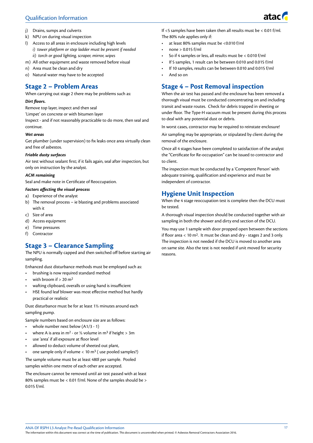# Qualification Information



- j) Drains, sumps and culverts
- k) NPU on during visual inspection
- l) Access to all areas in enclosure including high levels *i) tower platform or step ladder must be present if needed ii) torch or good lighting, scraper, mirror, wipes*
- m) All other equipment and waste removed before visual
- n) Area must be clean and dry
- o) Natural water may have to be accepted

# **Stage 2 – Problem Areas**

When carrying out stage 2 there may be problems such as:

### *Dirt floors.*

Remove top layer, inspect and then seal

'Limpet' on concrete or with bitumen layer

Inspect - and if not reasonably practicable to do more, then seal and continue.

#### *Wet areas*

Get plumber (under supervision) to fix leaks once area virtually clean and free of asbestos.

#### *Friable dusty surfaces*

Air test without sealant first; if it fails again, seal after inspection, but only on instruction by the analyst.

#### *ACM remaining*

Seal and make note in Certificate of Reoccupation.

#### *Factors affecting the visual process*

- a) Experience of the analyst
- b) The removal process ie blasting and problems associated with it
- c) Size of area
- d) Access equipment
- e) Time pressures
- f) Contractor

# **Stage 3 – Clearance Sampling**

The NPU is normally capped and then switched off before starting air sampling.

Enhanced dust disturbance methods must be employed such as:

- brushing is now required standard method
- with broom if  $> 20$  m<sup>2</sup>
- wafting clipboard, overalls or using hand is insufficient
- HSE found leaf blower was most effective method but hardly practical or realistic

Dust disturbance must be for at least 1½ minutes around each sampling pump.

Sample numbers based on enclosure size are as follows:

- whole number next below (A1/3 1)
- where A is area in m<sup>2</sup> or 1⁄3 volume in m<sup>3</sup> if height > 3m
- use 'area' if all exposure at floor level
- allowed to deduct volume of sheeted out plant,
- one sample only if volume  $< 10 \text{ m}^3$  (use pooled samples?)

The sample volume must be at least 480l per sample. Pooled samples within one metre of each other are accepted.

The enclosure cannot be removed until air test passed with at least 80% samples must be < 0.01 f/ml. None of the samples should be > 0.015 f/ml.

If <5 samples have been taken then all results must be < 0.01 f/ml. The 80% rule applies only if:

- at least 80% samples must be <0.010 f/ml
- none > 0.015 f/ml
- So if 4 samples or less, all results must be < 0.010 f/ml
- If 5 samples, 1 result can be between 0.010 and 0.015 f/ml
- If 10 samples, results can be between 0.010 and 0.015 f/ml
- And so on

# **Stage 4 – Post Removal inspection**

When the air test has passed and the enclosure has been removed a thorough visual must be conducted concentrating on and including transit and waste routes. Check for debris trapped in sheeting or under floor. The Type-H vacuum must be present during this process to deal with any potential dust or debris.

In worst cases, contractor may be required to reinstate enclosure!

Air sampling may be appropriate, or stipulated by client during the removal of the enclosure.

Once all 4 stages have been completed to satisfaction of the analyst the "Certificate for Re-occupation" can be issued to contractor and to client.

The inspection must be conducted by a 'Competent Person' with adequate training, qualification and experience and must be independent of contractor.

# **Hygiene Unit Inspection**

When the 4 stage reoccupation test is complete then the DCU must be tested.

A thorough visual inspection should be conducted together with air sampling in both the shower and dirty end section of the DCU.

You may use 1 sample with door propped open between the sections if floor area  $< 10$  m<sup>2</sup>. It must be clean and dry - stages 2 and 3 only. The inspection is not needed if the DCU is moved to another area on same site. Also the test is not needed if unit moved for security reasons.

ANA-DF RSPH L3 Analyst Pre-Read Qualification Information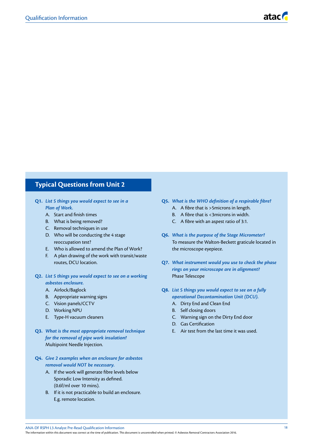# **Typical Questions from Unit 2**

- **Q1.** *List 5 things you would expect to see in a Plan of Work.*
	- A. Start and finish times
	- B. What is being removed?
	- C. Removal techniques in use
	- D. Who will be conducting the 4 stage reoccupation test?
	- E. Who is allowed to amend the Plan of Work?
	- F. A plan drawing of the work with transit/waste
	- routes, DCU location.
- **Q2.** *List 5 things you would expect to see on a working asbestos enclosure.*
	- A. Airlock/Baglock
	- B. Appropriate warning signs
	- C. Vision panels/CCTV
	- D. Working NPU
	- E. Type-H vacuum cleaners
- **Q3.** *What is the most appropriate removal technique for the removal of pipe work insulation?* Multipoint Needle Injection.
- **Q4.** *Give 2 examples when an enclosure for asbestos removal would NOT be necessary.*
	- A. If the work will generate fibre levels below Sporadic Low Intensity as defined. (0.6f/ml over 10 mins).
	- B. If it is not practicable to build an enclosure. E.g. remote location.
- **Q5.** *What is the WHO definition of a respirable fibre?*
	- A. A fibre that is >5microns in length.
	- B. A fibre that is <3microns in width.
	- C. A fibre with an aspest ratio of 3:1.
- **Q6.** *What is the purpose of the Stage Micrometer?*  To measure the Walton-Beckett graticule located in the microscope eyepiece.
- **Q7.** *What instrument would you use to check the phase rings on your microscope are in alignment?*  Phase Telescope
- **Q8.** *List 5 things you would expect to see on a fully operational Decontamination Unit (DCU).*
	- A. Dirty End and Clean End
	- B. Self closing doors
	- C. Warning sign on the Dirty End door
	- D. Gas Certification
	- E. Air test from the last time it was used.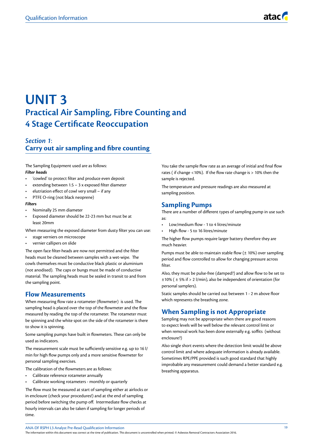# **UNIT 3 Practical Air Sampling, Fibre Counting and 4 Stage Certificate Reoccupation**

# *Section 1*: **Carry out air sampling and fibre counting**

The Sampling Equipment used are as follows: *Filter heads* 

- 'cowled' to protect filter and produce even deposit
- extending between 1.5 3 x exposed filter diameter
- elutriation effect of cowl very small if any
- PTFE O-ring (not black neoprene)

#### *Filters*

- Nominally 25 mm diameter
- Exposed diameter should be 22-23 mm but must be at least 20mm

When measuring the exposed diameter from dusty filter you can use:

- stage verniers on microscope
- vernier callipers on slide

The open face filter-heads are now not permitted and the filter heads must be cleaned between samples with a wet-wipe. The cowls themselves must be conductive black plastic or aluminium (not anodised). The caps or bungs must be made of conductive material. The sampling heads must be sealed in transit to and from the sampling point.

# **Flow Measurements**

When measuring flow rate a rotameter (flowmeter) is used. The sampling head is placed over the top of the flowmeter and the flow measured by reading the top of the rotameter. The rotameter must be spinning and the white spot on the side of the rotameter is there to show it is spinning.

Some sampling pumps have built in flowmeters. These can only be used as indicators.

The measurement scale must be sufficiently sensitive e.g. up to 16 l/ min for high flow pumps only and a more sensitive flowmeter for personal sampling exercises.

The calibration of the flowmeters are as follows:

- Calibrate reference rotameter annually
- Calibrate working rotameters monthly or quarterly

The flow must be measured at start of sampling either at airlocks or in enclosure (check your procedures!) and at the end of sampling period before switching the pump off. Intermediate flow checks at hourly intervals can also be taken if sampling for longer periods of time.

You take the sample flow rate as an average of initial and final flow rates ( if change <10%). If the flow rate change is > 10% then the sample is rejected.

The temperature and pressure readings are also measured at sampling position.

# **Sampling Pumps**

There are a number of different types of sampling pump in use such as:

- Low/medium flow 1 to 4 litres/minute
- High flow 5 to 16 litres/minute

The higher flow pumps require larger battery therefore they are much heavier.

Pumps must be able to maintain stable flow (± 10%) over sampling period and flow controlled to allow for changing pressure across filter.

Also, they must be pulse-free (damped?) and allow flow to be set to ±10% ( ± 5% if > 2 l/min), also be independent of orientation (for personal samplers).

Static samples should be carried out between 1 - 2 m above floor which represents the breathing zone.

# **When Sampling is not Appropriate**

Sampling may not be appropriate when there are good reasons to expect levels will be well below the relevant control limit or when removal work has been done externally e.g. soffits (without enclosure?)

Also single short events where the detection limit would be above control limit and where adequate information is already available. Sometimes RPE/PPE provided is such good standard that highly improbable any measurement could demand a better standard e.g. breathing apparatus.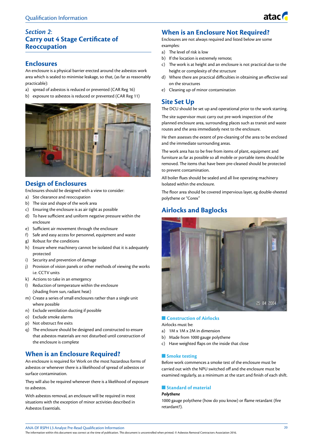# *Section 2*: **Carry out 4 Stage Certificate of Reoccupation**

# **Enclosures**

An enclosure is a physical barrier erected around the asbestos work area which is sealed to minimise leakage, so that, (as far as reasonably practicable):

- a) spread of asbestos is reduced or prevented (CAR Reg 16)
- b) exposure to asbestos is reduced or prevented (CAR Reg 11)



# **Design of Enclosures**

Enclosures should be designed with a view to consider:

- a) Site clearance and reoccupation
- b) The size and shape of the work area
- c) Ensuring the enclosure is as air tight as possible
- d) To have sufficient and uniform negative pressure within the enclosure
- e) Sufficient air movement through the enclosure
- f) Safe and easy access for personnel, equipment and waste
- g) Robust for the conditions
- h) Ensure where machinery cannot be isolated that it is adequately protected
- i) Security and prevention of damage
- j) Provision of vision panels or other methods of viewing the works i.e. CCTV units
- k) Actions to take in an emergency
- l) Reduction of temperature within the enclosure (shading from sun, radiant heat)
- m) Create a series of small enclosures rather than a single unit where possible
- n) Exclude ventilation ducting if possible
- o) Exclude smoke alarms
- p) Not obstruct fire exits
- q) The enclosure should be designed and constructed to ensure that asbestos materials are not disturbed until construction of the enclosure is complete

# **When is an Enclosure Required?**

An enclosure is required for Work on the most hazardous forms of asbestos or whenever there is a likelihood of spread of asbestos or surface contamination.

They will also be required whenever there is a likelihood of exposure to asbestos.

With asbestos removal, an enclosure will be required in most situations with the exception of minor activities described in Asbestos Essentials.

# **When is an Enclosure Not Required?**

Enclosures are not always required and listed below are some examples:

- a) The level of risk is low
- b) If the location is extremely remote;
- c) The work is at height and an enclosure is not practical due to the height or complexity of the structure

atac

- d) Where there are practical difficulties in obtaining an effective seal on the structures
- e) Cleaning up of minor contamination

# **Site Set Up**

The DCU should be set up and operational prior to the work starting.

The site supervisor must carry out pre-work inspection of the planned enclosure area, surrounding places such as transit and waste routes and the area immediately next to the enclosure.

He then assesses the extent of pre-cleaning of the area to be enclosed and the immediate surrounding areas.

The work area has to be free from items of plant, equipment and furniture as far as possible so all mobile or portable items should be removed. The items that have been pre-cleaned should be protected to prevent contamination.

All boiler flues should be sealed and all live operating machinery Isolated within the enclosure.

The floor area should be covered impervious layer, eg double-sheeted polythene or "Corex"

# **Airlocks and Baglocks**



# **n** Construction of Airlocks

Airlocks must be:

- a) 1M x 1M x 2M in dimension
- b) Made from 1000 gauge polythene
- c) Have weighted flaps on the inside that close

# **n** Smoke testing

Before work commences a smoke test of the enclosure must be carried out with the NPU switched off and the enclosure must be examined regularly, as a minimum at the start and finish of each shift.

# **n** Standard of material

# *Polythene*

1000 gauge polythene (how do you know) or flame retardant (fire retardant?).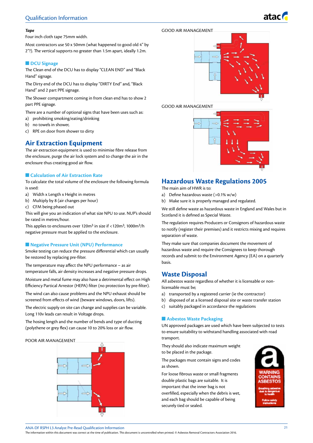#### *Tape*

Four inch cloth tape 75mm width.

Most contractors use 50 x 50mm (what happened to good old 4" by 2"?). The vertical supports no greater than 1.5m apart, ideally 1.2m.

#### **n** DCU Signage

The Clean end of the DCU has to display "CLEAN END" and "Black Hand" signage.

The Dirty end of the DCU has to display "DIRTY End" and, "Black Hand" and 2 part PPE signage.

The Shower compartment coming in from clean end has to show 2 part PPE signage.

There are a number of optional signs that have been uses such as:

- a) prohibiting smoking/eating/drinking
- b) no towels in shower,
- c) RPE on door from shower to dirty

# **Air Extraction Equipment**

The air extraction equipment is used to minimise fibre release from the enclosure, purge the air lock system and to change the air in the enclosure thus creating good air flow.

#### **n** Calculation of Air Extraction Rate

To calculate the total volume of the enclosure the following formula is used:

- a) Width x Length x Height in metres
- b) Multiply by 8 (air changes per hour)
- c) CFM being phased out

This will give you an indication of what size NPU to use. NUP's should be rated in metres/hour.

This applies to enclosures over 120m3 in size if <120m3, 1000m3/h negative pressure must be applied to the enclosure.

### **n** Negative Pressure Unit (NPU) Performance

Smoke testing can reduce the pressure differential which can usually be restored by replacing pre-filter.

The temperature may affect the NPU performance – as air temperature falls, air density increases and negative pressure drops.

Moisture and metal fume may also have a detrimental effect on High Efficiency Partical Arrestor (HEPA) filter (no protection by pre-filter).

The wind can also cause problems and the NPU exhaust should be screened from effects of wind (beware windows, doors, lifts).

The electric supply on site can change and supplies can be variable. Long 110v leads can result in Voltage drops.

The hosing length and the number of bends and type of ducting (polythene or grey flex) can cause 10 to 20% loss or air flow.

#### POOR AIR MANAGEMENT



#### GOOD AIR MANAGEMENT



#### GOOD AIR MANAGEMENT



# **Hazardous Waste Regulations 2005**

The main aim of HWR is to:

- a) Define hazardous waste (>0.1% w/w)
- b) Make sure it is properly managed and regulated.

We still define waste as hazardous waste in England and Wales but in Scotland it is defined as Special Waste.

The regulation requires Producers or Consignors of hazardous waste to notify (register their premises) and it restricts mixing and requires separation of waste.

They make sure that companies document the movement of hazardous waste and require the Consignees to keep thorough records and submit to the Environment Agency (EA) on a quarterly basis.

# **Waste Disposal**

All asbestos waste regardless of whether it is licensable or nonlicensable must be;

- a) transported by a registered carrier (ie the contractor)
- b) disposed of at a licensed disposal site or waste transfer station
- c) suitably packaged in accordance the regulations

### **n** Asbestos Waste Packaging

UN approved packages are used which have been subjected to tests to ensure suitability to withstand handling associated with road transport.

They should also indicate maximum weight to be placed in the package.

The packages must contain signs and codes as shown.

For loose fibrous waste or small fragments double plastic bags are suitable. It is important that the inner bag is not overfilled, especially when the debris is wet, and each bag should be capable of being securely tied or sealed.





atac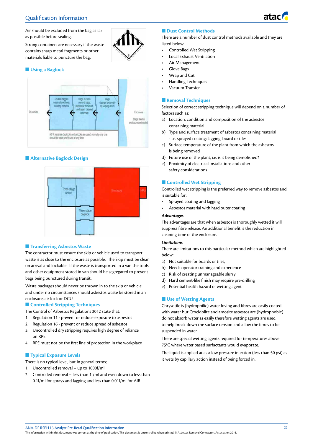# Qualification Information



Air should be excluded from the bag as far as possible before sealing.

Strong containers are necessary if the waste contains sharp metal fragments or other materials liable to puncture the bag.

### **n** Using a Baglock



### $\blacksquare$  **Alternative Baglock Design**



### **n** Transferring Asbestos Waste

The contractor must ensure the skip or vehicle used to transport waste is as close to the enclosure as possible. The Skip must be clean on arrival and lockable. If the waste is transported in a van the tools and other equipment stored in van should be segregated to prevent bags being punctured during transit.

Waste packages should never be thrown in to the skip or vehicle and under no circumstances should asbestos waste be stored in an enclosure, air lock or DCU.

#### **n** Controlled Stripping Techniques

The Control of Asbestos Regulations 2012 state that:

- 1. Regulation 11 prevent or reduce exposure to asbestos
- 2. Regulation 16 prevent or reduce spread of asbestos
- 3. Uncontrolled dry stripping requires high degree of reliance on RPE
- 4. RPE must not be the first line of protection in the workplace

#### **n** Typical Exposure Levels

There is no typical level, but in general terms;

- 1. Uncontrolled removal up to 1000f/ml
- 2. Controlled removal less than 1f/ml and even down to less than 0.1f/ml for sprays and lagging and less than 0.01f/ml for AIB

### **n** Dust Control Methods

There are a number of dust control methods available and they are listed below:

- Controlled Wet Stripping
- Local Exhaust Ventilation
- Air Management
- Glove Bags
- Wrap and Cut
- Handling Techniques
- Vacuum Transfer

### **n** Removal Techniques

Selection of correct stripping technique will depend on a number of factors such as:

- a) Location, condition and composition of the asbestos containing material
- b) Type and surface treatment of asbestos containing material - i.e. sprayed coating; lagging; board or tiles
- c) Surface temperature of the plant from which the asbestos is being removed
- d) Future use of the plant, i.e. is it being demolished?
- e) Proximity of electrical installations and other safety considerations

#### **n** Controlled Wet Stripping

Controlled wet stripping is the preferred way to remove asbestos and is suitable for:

- Sprayed coating and lagging
- Asbestos material with hard outer coating

### *Advantages*

The advantages are that when asbestos is thoroughly wetted it will suppress fibre release. An additional benefit is the reduction in cleaning time of the enclosure.

#### *Limitations*

There are limitations to this particular method which are highlighted below:

- a) Not suitable for boards or tiles,
- b) Needs operator training and experience
- c) Risk of creating unmanageable slurry
- d) Hard cement-like finish may require pre-drilling
- e) Potential health hazard of wetting agent

#### **n** Use of Wetting Agents

Chrysotile is (hydrophilic) water loving and fibres are easily coated with water but Crocidolite and amosite asbestos are (hydrophobic) do not absorb water as easily therefore wetting agents are used to help break down the surface tension and allow the fibres to be suspended in water.

There are special wetting agents required for temperatures above 75°C where water based surfactants would evaporate.

The liquid is applied at as a low pressure injection (less than 50 psi) as it wets by capillary action instead of being forced in.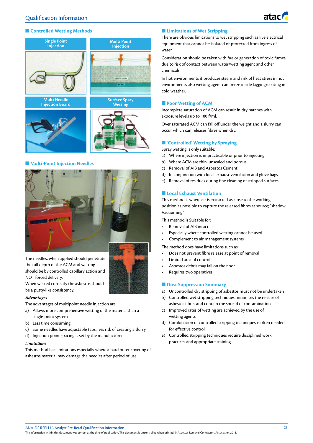

### **n** Controlled Wetting Methods



#### n **Multi-Point Injection Needles**



The needles, when applied should penetrate the full depth of the ACM and wetting should be by controlled capillary action and NOT forced delivery.

When wetted correctly the asbestos should be a putty-like consistency.

#### *Advantages*

The advantages of multipoint needle injection are:

- a) Allows more comprehensive wetting of the material than a single-point system
- b) Less time consuming
- c) Some needles have adjustable taps, less risk of creating a slurry
- d) Injection point spacing is set by the manufacturer

#### *Limitations*

This method has limitations especially where a hard outer covering of asbestos material may damage the needles after period of use.

### $\blacksquare$  **Limitations of Wet Stripping**

There are obvious limitations to wet stripping such as live electrical equipment that cannot be isolated or protected from ingress of water.

Consideration should be taken with fire or generation of toxic fumes due to risk of contact between water/wetting agent and other chemicals.

In hot environments it produces steam and risk of heat stress in hot environments also wetting agent can freeze inside lagging/coating in cold weather.

#### **n** Poor Wetting of ACM

Incomplete saturation of ACM can result in dry patches with exposure levels up to 100 f/ml.

Over saturated ACM can fall off under the weight and a slurry can occur which can releases fibres when dry.

#### **n** 'Controlled' Wetting by Spraying

Spray wetting is only suitable:

- a) Where injection is impracticable or prior to injecting
- b) Where ACM are thin, unsealed and porous
- c) Removal of AIB and Asbestos Cement
- d) In conjunction with local exhaust ventilation and glove bags
- e) Removal of residues during fine cleaning of stripped surfaces

#### **n** Local Exhaust Ventilation

This method is where air is extracted as close to the working position as possible to capture the released fibres at source; "shadow Vacuuming".

This method is Suitable for:

- Removal of AIB intact
- Especially where controlled wetting cannot be used
- Complement to air management systems

The method does have limitations such as:

- Does not prevent fibre release at point of removal
- Limited area of control
- Asbestos debris may fall on the floor
- Requires two operatives

#### **n** Dust Suppression Summary

- a) Uncontrolled dry stripping of asbestos must not be undertaken
- b) Controlled wet stripping techniques minimises the release of asbestos fibres and contain the spread of contamination
- c) Improved rates of wetting are achieved by the use of wetting agents
- d) Combination of controlled stripping techniques is often needed for effective control
- e) Controlled stripping techniques require disciplined work practices and appropriate training.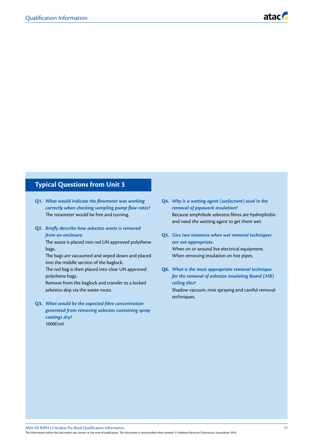# **Typical Questions from Unit 3**

- **Q1.** *What would indicate the flowmeter was working correctly when checking sampling pump flow rates?* The rotameter would be free and turning.
- **Q2.** *Briefly describe how asbestos waste is removed from an enclosure.*

The waste is placed into red UN approved polythene bags.

The bags are vacuumed and wiped down and placed into the middle section of the baglock.

The red bag is then placed into clear UN approved polythene bags.

Remove from the baglock and transfer to a locked asbestos skip via the waste route.

**Q3.** *What would be the expected fibre concentration generated from removing asbestos containing spray coatings dry?* 1000f/ml

- **Q4.** *Why is a wetting agent (surfactant) used in the removal of pipework insulation?* Because amphibole asbestos fibres are hydrophobic and need the wetting agent to get them wet.
- **Q5.** *Give two instances when wet removal techniques are not appropriate.* When on or around live electrical equipment. When removing insulation on hot pipes.
- **Q6.** *What is the most appropriate removal technique for the removal of asbestos insulating Board (AIB) ceiling tiles?*

Shadow vacuum, mist spraying and careful removal techniques.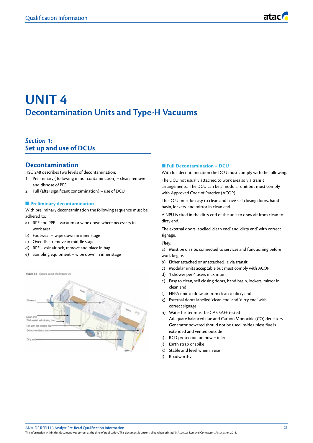# **UNIT 4 Decontamination Units and Type-H Vacuums**

# *Section 1*: **Set up and use of DCUs**

# **Decontamination**

HSG 248 describes two levels of decontamination;

- 1. Preliminary ( following minor contamination) clean, remove and dispose of PPE
- 2. Full (after significant contamination) use of DCU

### **n** Preliminary decontamination

With preliminary decontamination the following sequence must be adhered to:

- a) RPE and PPE vacuum or wipe down where necessary in work area
- b) Footwear wipe down in inner stage
- c) Overalls remove in middle stage
- d) RPE exit airlock, remove and place in bag
- e) Sampling equipment wipe down in inner stage

Figure 8.1 General layout of a hygiene uni Gell with self-closing flat Fatrant ventilation unit

### **n** Full Decontamination – DCU

With full decontamination the DCU must comply with the following.

The DCU not usually attached to work area so via transit arrangements. The DCU can be a modular unit but must comply with Approved Code of Practice (ACOP).

The DCU must be easy to clean and have self closing doors, hand basin, lockers, and mirror in clean end.

A NPU is cited in the dirty end of the unit to draw air from clean to dirty end.

The external doors labelled 'clean end' and 'dirty end' with correct signage.

#### *They:*

a) Must be on site, connected to services and functioning before work begins

- b) Either attached or unattached, ie via transit
- c) Modular units acceptable but must comply with ACOP
- d) 1 shower per 4 users maximum
- e) Easy to clean, self closing doors, hand basin, lockers, mirror in clean end
- f) HEPA unit to draw air from clean to dirty end
- g) External doors labelled 'clean end' and 'dirty end' with correct signage
- h) Water heater must be GAS SAFE tested Adequate balanced flue and Carbon Monoxide (CO) detectors Generator powered should not be used inside unless flue is extended and vented outside
- i) RCD protection on power inlet
- j) Earth strap or spike
- k) Stable and level when in use
- l) Roadworthy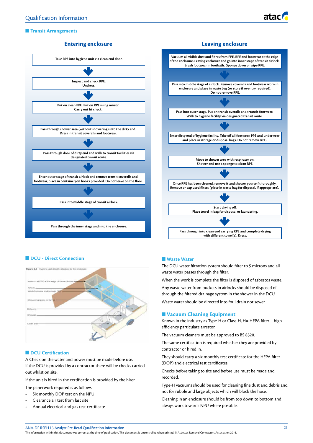# **n** Transit Arrangements

# **Entering enclosure**





# **n** DCU - Direct Connection



#### **n** DCU Certification

A Check on the water and power must be made before use. If the DCU is provided by a contractor there will be checks carried out whilst on site.

If the unit is hired in the certification is provided by the hirer.

The paperwork required is as follows:

- Six monthly DOP test on the NPU
- Clearance air test from last site
- Annual electrical and gas test certificate

### **N** Waste Water

The DCU water filtration system should filter to 5 microns and all waste water passes through the filter.

When the work is complete the filter is disposed of asbestos waste.

Any waste water from buckets in airlocks should be disposed of through the filtered drainage system in the shower in the DCU.

Waste water should be directed into foul drain not sewer.

### **N** Vacuum Cleaning Equipment

Known in the industry as Type-H or Class-H, H= HEPA filter – high efficiency particulate arrestor.

The vacuum cleaners must be approved to BS 8520.

The same certification is required whether they are provided by contractor or hired in.

They should carry a six monthly test certificate for the HEPA filter (DOP) and electrical test certificates.

Checks before taking to site and before use must be made and recorded.

Type-H vacuums should be used for cleaning fine dust and debris and not for rubble and large objects which will block the hose.

Cleaning in an enclosure should be from top down to bottom and always work towards NPU where possible.

ANA-DF RSPH L3 Analyst Pre-Read Qualification Information